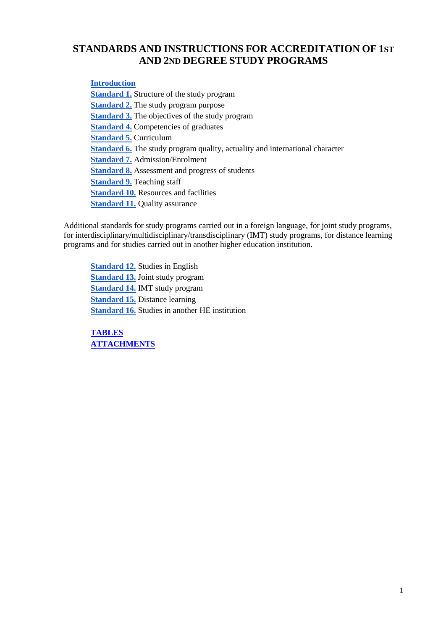# **STANDARDS AND INSTRUCTIONS FOR ACCREDITATION OF 1ST AND 2ND DEGREE STUDY PROGRAMS**

<span id="page-0-0"></span>**[Introduction](#page-1-0)**

**[Standard 1.](#page-3-0)** Structure of the study program **[Standard 2.](#page-3-1)** The study program purpose **[Standard 3.](#page-4-0)** The objectives of the study program **[Standard 4.](#page-5-0)** Competencies of graduates **[Standard 5.](#page-6-0)** Curriculum **[Standard 6.](#page-7-0)** The study program quality, actuality and international character **[Standard 7.](#page-8-0)** Admission/Enrolment **[Standard 8.](#page-8-1)** Assessment and progress of students **[Standard 9.](#page-9-0)** Teaching staff **[Standard 10.](#page-10-0)** Resources and facilities **[Standard 11.](#page-10-1) Quality assurance** 

Additional standards for study programs carried out in a foreign language, for joint study programs, for interdisciplinary/multidisciplinary/transdisciplinary (IMT) study programs, for distance learning programs and for studies carried out in another higher education institution.

**[Standard 12.](#page-10-2)** Studies in English **[Standard 13.](#page-11-0)** Joint study program **[Standard 14.](#page-11-1)** IMT study program **[Standard 15.](#page-12-0)** Distance learning **[Standard 16.](#page-12-1)** Studies in another HE institution

**[TABLES](Tables) [ATTACHMENTS](Attachments)**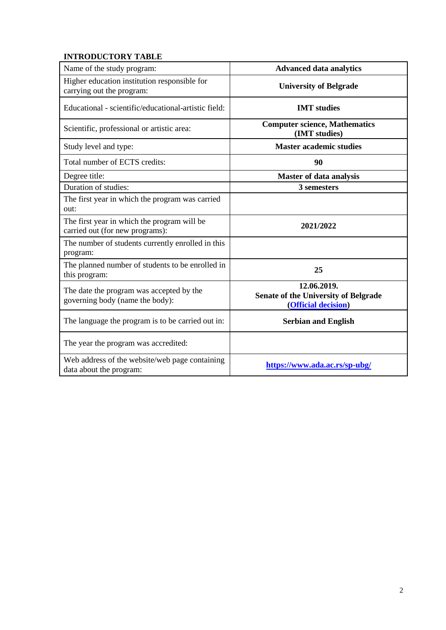# <span id="page-1-0"></span>**INTRODUCTORY TABLE**

| Name of the study program:                                                     | <b>Advanced data analytics</b>                                                    |
|--------------------------------------------------------------------------------|-----------------------------------------------------------------------------------|
| Higher education institution responsible for<br>carrying out the program:      | <b>University of Belgrade</b>                                                     |
| Educational - scientific/educational-artistic field:                           | <b>IMT</b> studies                                                                |
| Scientific, professional or artistic area:                                     | <b>Computer science, Mathematics</b><br>(IMT studies)                             |
| Study level and type:                                                          | <b>Master academic studies</b>                                                    |
| Total number of ECTS credits:                                                  | 90                                                                                |
| Degree title:                                                                  | Master of data analysis                                                           |
| Duration of studies:                                                           | 3 semesters                                                                       |
| The first year in which the program was carried<br>out:                        |                                                                                   |
| The first year in which the program will be<br>carried out (for new programs): | 2021/2022                                                                         |
| The number of students currently enrolled in this<br>program:                  |                                                                                   |
| The planned number of students to be enrolled in<br>this program:              | 25                                                                                |
| The date the program was accepted by the<br>governing body (name the body):    | 12.06.2019.<br><b>Senate of the University of Belgrade</b><br>(Official decision) |
| The language the program is to be carried out in:                              | <b>Serbian and English</b>                                                        |
| The year the program was accredited:                                           |                                                                                   |
| Web address of the website/web page containing<br>data about the program:      | https://www.ada.ac.rs/sp-ubg/                                                     |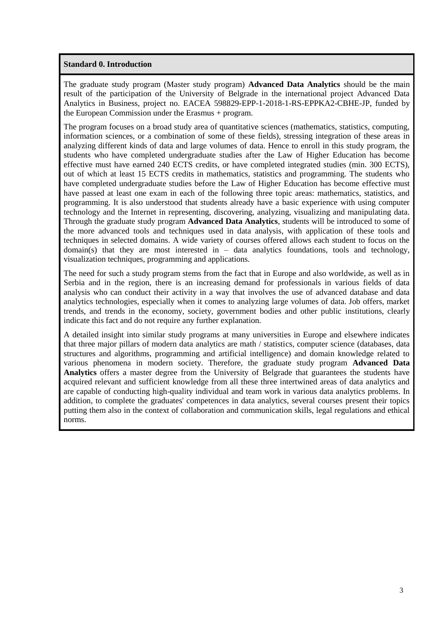#### **Standard 0. Introduction**

The graduate study program (Master study program) **Advanced Data Analytics** should be the main result of the participation of the University of Belgrade in the international project Advanced Data Analytics in Business, project no. EACEA 598829-EPP-1-2018-1-RS-EPPKA2-CBHE-JP, funded by the European Commission under the Erasmus + program.

The program focuses on a broad study area of quantitative sciences (mathematics, statistics, computing, information sciences, or a combination of some of these fields), stressing integration of these areas in analyzing different kinds of data and large volumes of data. Hence to enroll in this study program, the students who have completed undergraduate studies after the Law of Higher Education has become effective must have earned 240 ECTS credits, or have completed integrated studies (min. 300 ECTS), out of which at least 15 ECTS credits in mathematics, statistics and programming. The students who have completed undergraduate studies before the Law of Higher Education has become effective must have passed at least one exam in each of the following three topic areas: mathematics, statistics, and programming. It is also understood that students already have a basic experience with using computer technology and the Internet in representing, discovering, analyzing, visualizing and manipulating data. Through the graduate study program **Advanced Data Analytics**, students will be introduced to some of the more advanced tools and techniques used in data analysis, with application of these tools and techniques in selected domains. A wide variety of courses offered allows each student to focus on the domain(s) that they are most interested in  $-$  data analytics foundations, tools and technology, visualization techniques, programming and applications.

The need for such a study program stems from the fact that in Europe and also worldwide, as well as in Serbia and in the region, there is an increasing demand for professionals in various fields of data analysis who can conduct their activity in a way that involves the use of advanced database and data analytics technologies, especially when it comes to analyzing large volumes of data. Job offers, market trends, and trends in the economy, society, government bodies and other public institutions, clearly indicate this fact and do not require any further explanation.

A detailed insight into similar study programs at many universities in Europe and elsewhere indicates that three major pillars of modern data analytics are math / statistics, computer science (databases, data structures and algorithms, programming and artificial intelligence) and domain knowledge related to various phenomena in modern society. Therefore, the graduate study program **Advanced Data Analytics** offers a master degree from the University of Belgrade that guarantees the students have acquired relevant and sufficient knowledge from all these three intertwined areas of data analytics and are capable of conducting high-quality individual and team work in various data analytics problems. In addition, to complete the graduates' competences in data analytics, several courses present their topics putting them also in the context of collaboration and communication skills, legal regulations and ethical norms.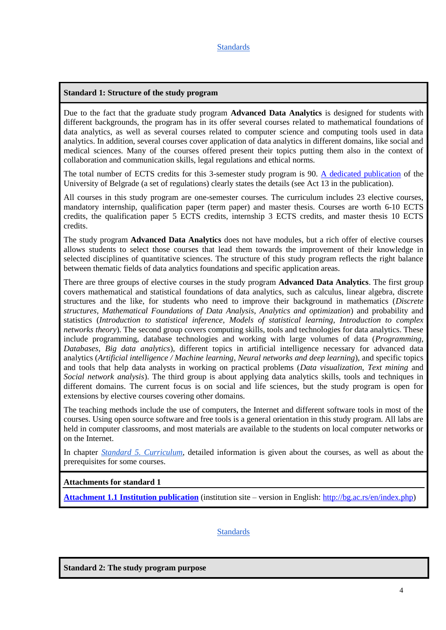#### <span id="page-3-0"></span>**Standard 1: Structure of the study program**

Due to the fact that the graduate study program **Advanced Data Analytics** is designed for students with different backgrounds, the program has in its offer several courses related to mathematical foundations of data analytics, as well as several courses related to computer science and computing tools used in data analytics. In addition, several courses cover application of data analytics in different domains, like social and medical sciences. Many of the courses offered present their topics putting them also in the context of collaboration and communication skills, legal regulations and ethical norms.

The total number of ECTS credits for this 3-semester study program is 90. [A dedicated publication](http://bg.ac.rs/files/sr/univerzitet/univ-propisi/Pravilnik_o_upisu_na_studijske_programe_2021.pdf) of the University of Belgrade (a set of regulations) clearly states the details (see Act 13 in the publication).

All courses in this study program are one-semester courses. The curriculum includes 23 elective courses, mandatory internship, qualification paper (term paper) and master thesis. Courses are worth 6-10 ECTS credits, the qualification paper 5 ECTS credits, internship 3 ECTS credits, and master thesis 10 ECTS credits.

The study program **Advanced Data Analytics** does not have modules, but a rich offer of elective courses allows students to select those courses that lead them towards the improvement of their knowledge in selected disciplines of quantitative sciences. The structure of this study program reflects the right balance between thematic fields of data analytics foundations and specific application areas.

There are three groups of elective courses in the study program **Advanced Data Analytics**. The first group covers mathematical and statistical foundations of data analytics, such as calculus, linear algebra, discrete structures and the like, for students who need to improve their background in mathematics (*Discrete structures*, *Mathematical Foundations of Data Analysis*, *Analytics and optimization*) and probability and statistics (*Introduction to statistical inference*, *Models of statistical learning*, *Introduction to complex networks theory*). The second group covers computing skills, tools and technologies for data analytics. These include programming, database technologies and working with large volumes of data (*Programming*, *Databases*, *Big data analytics*), different topics in artificial intelligence necessary for advanced data analytics (*Artificial intelligence / Machine learning*, *Neural networks and deep learning*), and specific topics and tools that help data analysts in working on practical problems (*Data visualization*, *Text mining* and *Social network analysis*). The third group is about applying data analytics skills, tools and techniques in different domains. The current focus is on social and life sciences, but the study program is open for extensions by elective courses covering other domains.

The teaching methods include the use of computers, the Internet and different software tools in most of the courses. Using open source software and free tools is a general orientation in this study program. All labs are held in computer classrooms, and most materials are available to the students on local computer networks or on the Internet.

In chapter *[Standard 5. Curriculum](#page-6-0)*, detailed information is given about the courses, as well as about the prerequisites for some courses.

#### **Attachments for standard 1**

**[Attachment 1.1 Institution publication](Attachments/Attachment_1.1.pdf)** (institution site – version in English: [http://bg.ac.rs/en/index.php\)](http://bg.ac.rs/en/index.php)

[Standards](#page-0-0)

<span id="page-3-1"></span>**Standard 2: The study program purpose**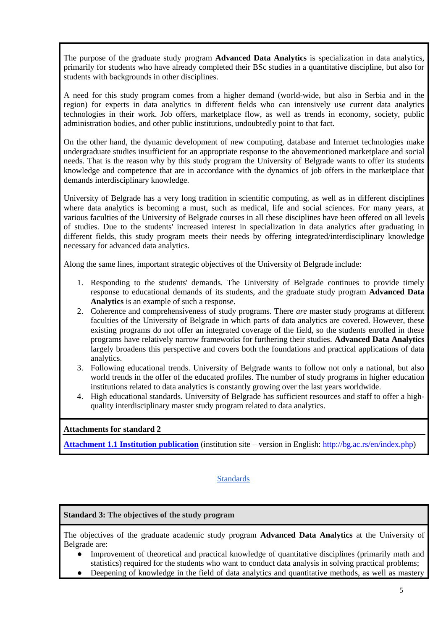The purpose of the graduate study program **Advanced Data Analytics** is specialization in data analytics, primarily for students who have already completed their BSc studies in a quantitative discipline, but also for students with backgrounds in other disciplines.

A need for this study program comes from a higher demand (world-wide, but also in Serbia and in the region) for experts in data analytics in different fields who can intensively use current data analytics technologies in their work. Job offers, marketplace flow, as well as trends in economy, society, public administration bodies, and other public institutions, undoubtedly point to that fact.

On the other hand, the dynamic development of new computing, database and Internet technologies make undergraduate studies insufficient for an appropriate response to the abovementioned marketplace and social needs. That is the reason why by this study program the University of Belgrade wants to offer its students knowledge and competence that are in accordance with the dynamics of job offers in the marketplace that demands interdisciplinary knowledge.

University of Belgrade has a very long tradition in scientific computing, as well as in different disciplines where data analytics is becoming a must, such as medical, life and social sciences. For many years, at various faculties of the University of Belgrade courses in all these disciplines have been offered on all levels of studies. Due to the students' increased interest in specialization in data analytics after graduating in different fields, this study program meets their needs by offering integrated/interdisciplinary knowledge necessary for advanced data analytics.

Along the same lines, important strategic objectives of the University of Belgrade include:

- 1. Responding to the students' demands. The University of Belgrade continues to provide timely response to educational demands of its students, and the graduate study program **Advanced Data Analytics** is an example of such a response.
- 2. Coherence and comprehensiveness of study programs. There *are* master study programs at different faculties of the University of Belgrade in which parts of data analytics are covered. However, these existing programs do not offer an integrated coverage of the field, so the students enrolled in these programs have relatively narrow frameworks for furthering their studies. **Advanced Data Analytics** largely broadens this perspective and covers both the foundations and practical applications of data analytics.
- 3. Following educational trends. University of Belgrade wants to follow not only a national, but also world trends in the offer of the educated profiles. The number of study programs in higher education institutions related to data analytics is constantly growing over the last years worldwide.
- 4. High educational standards. University of Belgrade has sufficient resources and staff to offer a highquality interdisciplinary master study program related to data analytics.

## **Attachments for standard 2**

**[Attachment 1.1 Institution publication](Attachments/Attachment_1.1.pdf)** (institution site – version in English: [http://bg.ac.rs/en/index.php\)](http://bg.ac.rs/en/index.php)

## **[Standards](#page-0-0)**

## <span id="page-4-0"></span>**Standard 3: The objectives of the study program**

The objectives of the graduate academic study program **Advanced Data Analytics** at the University of Belgrade are:

- Improvement of theoretical and practical knowledge of quantitative disciplines (primarily math and statistics) required for the students who want to conduct data analysis in solving practical problems;
- Deepening of knowledge in the field of data analytics and quantitative methods, as well as mastery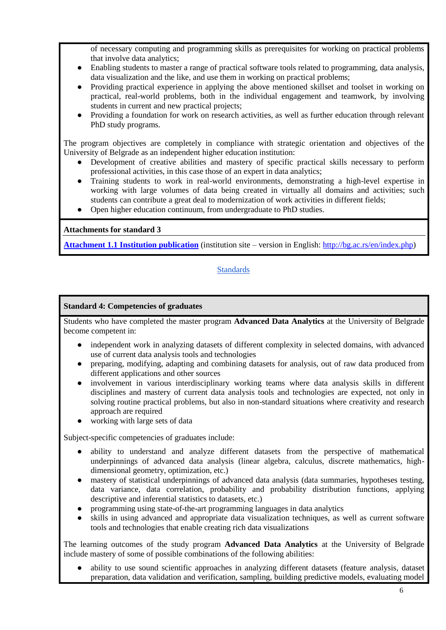of necessary computing and programming skills as prerequisites for working on practical problems that involve data analytics;

- Enabling students to master a range of practical software tools related to programming, data analysis, data visualization and the like, and use them in working on practical problems;
- Providing practical experience in applying the above mentioned skillset and toolset in working on practical, real-world problems, both in the individual engagement and teamwork, by involving students in current and new practical projects;
- Providing a foundation for work on research activities, as well as further education through relevant PhD study programs.

The program objectives are completely in compliance with strategic orientation and objectives of the University of Belgrade as an independent higher education institution:

- Development of creative abilities and mastery of specific practical skills necessary to perform professional activities, in this case those of an expert in data analytics;
- Training students to work in real-world environments, demonstrating a high-level expertise in working with large volumes of data being created in virtually all domains and activities; such students can contribute a great deal to modernization of work activities in different fields;
- Open higher education continuum, from undergraduate to PhD studies.

#### **Attachments for standard 3**

**[Attachment 1.1 Institution publication](Attachments/Attachment_1.1.pdf)** (institution site – version in English: [http://bg.ac.rs/en/index.php\)](http://bg.ac.rs/en/index.php)

# **[Standards](#page-0-0)**

#### <span id="page-5-0"></span>**Standard 4: Competencies of graduates**

Students who have completed the master program **Advanced Data Analytics** at the University of Belgrade become competent in:

- independent work in analyzing datasets of different complexity in selected domains, with advanced use of current data analysis tools and technologies
- preparing, modifying, adapting and combining datasets for analysis, out of raw data produced from different applications and other sources
- involvement in various interdisciplinary working teams where data analysis skills in different disciplines and mastery of current data analysis tools and technologies are expected, not only in solving routine practical problems, but also in non-standard situations where creativity and research approach are required
- working with large sets of data

Subject-specific competencies of graduates include:

- ability to understand and analyze different datasets from the perspective of mathematical underpinnings of advanced data analysis (linear algebra, calculus, discrete mathematics, highdimensional geometry, optimization, etc.)
- mastery of statistical underpinnings of advanced data analysis (data summaries, hypotheses testing, data variance, data correlation, probability and probability distribution functions, applying descriptive and inferential statistics to datasets, etc.)
- programming using state-of-the-art programming languages in data analytics
- skills in using advanced and appropriate data visualization techniques, as well as current software tools and technologies that enable creating rich data visualizations

The learning outcomes of the study program **Advanced Data Analytics** at the University of Belgrade include mastery of some of possible combinations of the following abilities:

ability to use sound scientific approaches in analyzing different datasets (feature analysis, dataset preparation, data validation and verification, sampling, building predictive models, evaluating model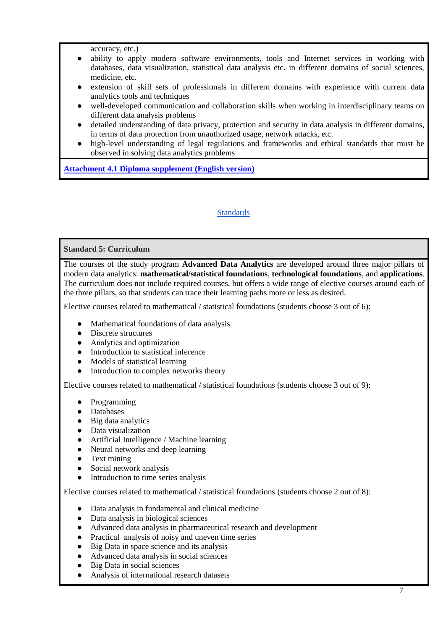accuracy, etc.)

- ability to apply modern software environments, tools and Internet services in working with databases, data visualization, statistical data analysis etc. in different domains of social sciences, medicine, etc.
- extension of skill sets of professionals in different domains with experience with current data analytics tools and techniques
- well-developed communication and collaboration skills when working in interdisciplinary teams on different data analysis problems
- detailed understanding of data privacy, protection and security in data analysis in different domains, in terms of data protection from unauthorized usage, network attacks, etc.
- high-level understanding of legal regulations and frameworks and ethical standards that must be observed in solving data analytics problems

**[Attachment 4.1 Diploma supplement \(English version\)](Attachments/Attachment_4.1.rtf)**

## **[Standards](#page-0-0)**

### <span id="page-6-0"></span>**Standard 5: Curriculum**

The courses of the study program **Advanced Data Analytics** are developed around three major pillars of modern data analytics: **mathematical/statistical foundations**, **technological foundations**, and **applications**. The curriculum does not include required courses, but offers a wide range of elective courses around each of the three pillars, so that students can trace their learning paths more or less as desired.

Elective courses related to mathematical / statistical foundations (students choose 3 out of 6):

- Mathematical foundations of data analysis
- Discrete structures
- Analytics and оptimization
- Introduction to statistical inference
- Models of statistical learning
- Introduction to complex networks theory

Elective courses related to mathematical / statistical foundations (students choose 3 out of 9):

- Programming
- Databases
- Big data analytics
- Data visualization
- Artificial Intelligence / Machine learning
- Neural networks and deep learning
- Text mining
- Social network analysis
- Introduction to time series analysis

Elective courses related to mathematical / statistical foundations (students choose 2 out of 8):

- Data analysis in fundamental and clinical medicine
- Data analysis in biological sciences
- Advanced data analysis in pharmaceutical research and development
- Practical analysis of noisy and uneven time series
- Big Data in space science and its analysis
- Advanced data analysis in social sciences
- Big Data in social sciences
- Analysis of international research datasets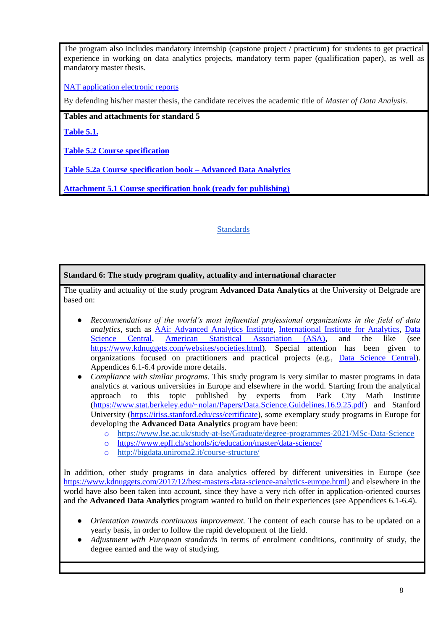The program also includes mandatory internship (capstone project / practicum) for students to get practical experience in working on data analytics projects, mandatory term paper (qualification paper), as well as mandatory master thesis.

[NAT application electronic reports](../../Elektronski_izvestaji)

By defending his/her master thesis, the candidate receives the academic title of *Master of Data Analysis*.

**Tables and attachments for standard 5**

**[Table 5.1.](Tables/Table_5.1.docx)**

**[Table 5.2 Course specification](Tables/Table_5.2)**

**[Table 5.2a Course specification book –](Tables/Table_5.2а.docx) Advanced Data Analytics**

**[Attachment 5.1 Course specification book \(ready for publishing\)](Attachments/Attachment_5.1.pdf)**

### **[Standards](#page-0-0)**

<span id="page-7-0"></span>**Standard 6: The study program quality, actuality and international character**

The quality and actuality of the study program **Advanced Data Analytics** at the University of Belgrade are based on:

- *Recommendations of the world's most influential professional organizations in the field of data analytics*, such as [AAi: Advanced Analytics Institute,](http://www.analytics.uts.edu.au/) [International Institute for Analytics,](http://www.iianalytics.com/) [Data](https://www.datasciencecentral.com/)  [Science Central,](https://www.datasciencecentral.com/) [American Statistical Association \(ASA\),](https://www.amstat.org/) and the like (see [https://www.kdnuggets.com/websites/societies.html\)](https://www.kdnuggets.com/websites/societies.html). Special attention has been given to organizations focused on practitioners and practical projects (e.g., [Data Science Central\)](https://www.datasciencecentral.com/). Appendices 6.1-6.4 provide more details.
- *Compliance with similar programs.* This study program is very similar to master programs in data analytics at various universities in Europe and elsewhere in the world. Starting from the analytical approach to this topic published by experts from Park City Math Institute [\(https://www.stat.berkeley.edu/~nolan/Papers/Data.Science.Guidelines.16.9.25.pdf\)](https://www.stat.berkeley.edu/~nolan/Papers/Data.Science.Guidelines.16.9.25.pdf) and Stanford University [\(https://iriss.stanford.edu/css/certificate\)](https://iriss.stanford.edu/css/certificate), some exemplary study programs in Europe for developing the **Advanced Data Analytics** program have been:
	- o <https://www.lse.ac.uk/study-at-lse/Graduate/degree-programmes-2021/MSc-Data-Science>
	- o <https://www.epfl.ch/schools/ic/education/master/data-science/>
	- o <http://bigdata.uniroma2.it/course-structure/>

In addition, other study programs in data analytics offered by different universities in Europe (see [https://www.kdnuggets.com/2017/12/best-masters-data-science-analytics-europe.html\)](https://www.kdnuggets.com/2017/12/best-masters-data-science-analytics-europe.html) and elsewhere in the world have also been taken into account, since they have a very rich offer in application-oriented courses and the **Advanced Data Analytics** program wanted to build on their experiences (see Appendices 6.1-6.4).

- *Orientation towards continuous improvement.* The content of each course has to be updated on a yearly basis, in order to follow the rapid development of the field.
- *Adjustment with European standards* in terms of enrolment conditions, continuity of study, the degree earned and the way of studying.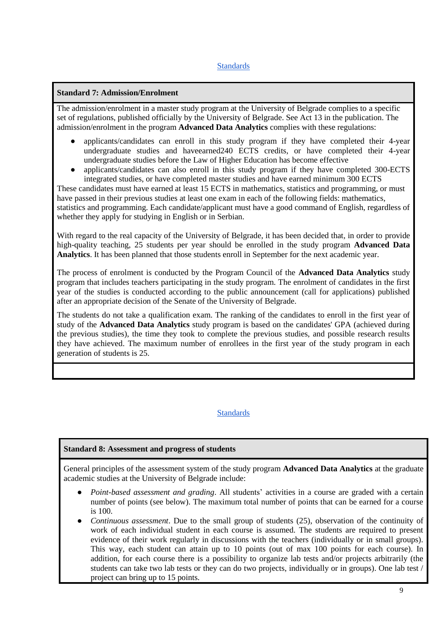## <span id="page-8-0"></span>**[Standards](#page-0-0)**

### **Standard 7: Admission/Enrolment**

The admission/enrolment in a master study program at the University of Belgrade complies to a specific set of regulations, published officially by the University of Belgrade. See Act 13 in the publication. The admission/enrolment in the program **Advanced Data Analytics** complies with these regulations:

- applicants/candidates can enroll in this study program if they have completed their 4-year undergraduate studies and haveearned240 ECTS credits, or have completed their 4-year undergraduate studies before the Law of Higher Education has become effective
- applicants/candidates can also enroll in this study program if they have completed 300-ECTS integrated studies, or have completed master studies and have earned minimum 300 ECTS

These candidates must have earned at least 15 ECTS in mathematics, statistics and programming, or must have passed in their previous studies at least one exam in each of the following fields: mathematics, statistics and programming. Each candidate/applicant must have a good command of English, regardless of whether they apply for studying in English or in Serbian.

With regard to the real capacity of the University of Belgrade, it has been decided that, in order to provide high-quality teaching, 25 students per year should be enrolled in the study program **Advanced Data Analytics**. It has been planned that those students enroll in September for the next academic year.

The process of enrolment is conducted by the Program Council of the **Advanced Data Analytics** study program that includes teachers participating in the study program. The enrolment of candidates in the first year of the studies is conducted according to the public announcement (call for applications) published after an appropriate decision of the Senate of the University of Belgrade.

The students do not take a qualification exam. The ranking of the candidates to enroll in the first year of study of the **Advanced Data Analytics** study program is based on the candidates' GPA (achieved during the previous studies), the time they took to complete the previous studies, and possible research results they have achieved. The maximum number of enrollees in the first year of the study program in each generation of students is 25.

#### **[Standards](#page-0-0)**

## <span id="page-8-1"></span>**Standard 8: Assessment and progress of students**

General principles of the assessment system of the study program **Advanced Data Analytics** at the graduate academic studies at the University of Belgrade include:

- *Point-based assessment and grading*. All students' activities in a course are graded with a certain number of points (see below). The maximum total number of points that can be earned for a course is 100.
- *Continuous assessment*. Due to the small group of students (25), observation of the continuity of work of each individual student in each course is assumed. The students are required to present evidence of their work regularly in discussions with the teachers (individually or in small groups). This way, each student can attain up to 10 points (out of max 100 points for each course). In addition, for each course there is a possibility to organize lab tests and/or projects arbitrarily (the students can take two lab tests or they can do two projects, individually or in groups). One lab test / project can bring up to 15 points.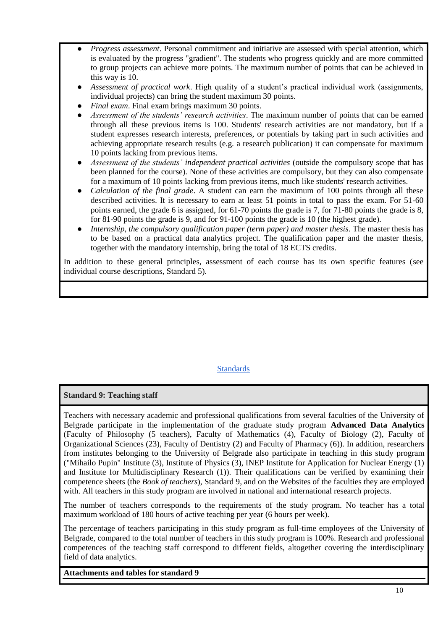- *Progress assessment*. Personal commitment and initiative are assessed with special attention, which is evaluated by the progress "gradient". The students who progress quickly and are more committed to group projects can achieve more points. The maximum number of points that can be achieved in this way is 10.
- *Assessment of practical work*. High quality of a student's practical individual work (assignments, individual projects) can bring the student maximum 30 points.
- *Final exam.* Final exam brings maximum 30 points.
- *Assessment of the students' research activities*. The maximum number of points that can be earned through all these previous items is 100. Students' research activities are not mandatory, but if a student expresses research interests, preferences, or potentials by taking part in such activities and achieving appropriate research results (e.g. a research publication) it can compensate for maximum 10 points lacking from previous items.
- *Assessment of the students' independent practical activities* (outside the compulsory scope that has been planned for the course). None of these activities are compulsory, but they can also compensate for a maximum of 10 points lacking from previous items, much like students' research activities.
- *Calculation of the final grade.* A student can earn the maximum of 100 points through all these described activities. It is necessary to earn at least 51 points in total to pass the exam. For 51-60 points earned, the grade 6 is assigned, for 61-70 points the grade is 7, for 71-80 points the grade is 8, for 81-90 points the grade is 9, and for 91-100 points the grade is 10 (the highest grade).
- *Internship, the compulsory qualification paper (term paper) and master thesis*. The master thesis has to be based on a practical data analytics project. The qualification paper and the master thesis, together with the mandatory internship, bring the total of 18 ECTS credits.

In addition to these general principles, assessment of each course has its own specific features (see individual course descriptions, Standard 5).

# **[Standards](#page-0-0)**

## <span id="page-9-0"></span>**Standard 9: Teaching staff**

Teachers with necessary academic and professional qualifications from several faculties of the University of Belgrade participate in the implementation of the graduate study program **Advanced Data Analytics** (Faculty of Philosophy (5 teachers), Faculty of Mathematics (4), Faculty of Biology (2), Faculty of Organizational Sciences (23), Faculty of Dentistry (2) and Faculty of Pharmacy (6)). In addition, researchers from institutes belonging to the University of Belgrade also participate in teaching in this study program ("Mihailo Pupin" Institute (3), Institute of Physics (3), INEP Institute for Application for Nuclear Energy (1) and Institute for Multidisciplinary Research (1)). Their qualifications can be verified by examining their competence sheets (the *Book of teachers*), Standard 9, and on the Websites of the faculties they are employed with. All teachers in this study program are involved in national and international research projects.

The number of teachers corresponds to the requirements of the study program. No teacher has a total maximum workload of 180 hours of active teaching per year (6 hours per week).

The percentage of teachers participating in this study program as full-time employees of the University of Belgrade, compared to the total number of teachers in this study program is 100%. Research and professional competences of the teaching staff correspond to different fields, altogether covering the interdisciplinary field of data analytics.

**Attachments and tables for standard 9**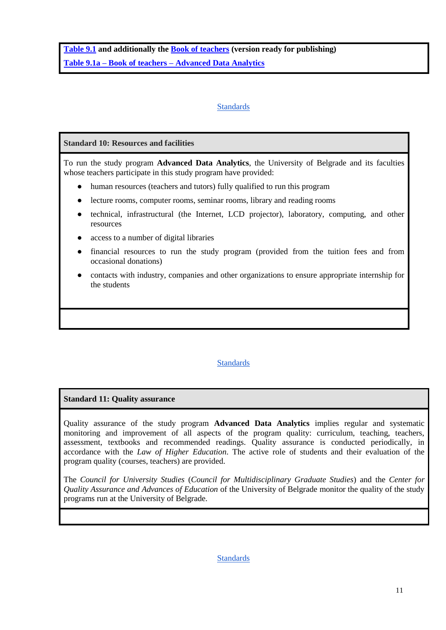**[Table 9.1](Tables/Table_9.1) and additionally the [Book of teachers](Tables/Table_9.1/Table_9.1.pdf) (version ready for publishing) Table 9.1a – Book of teachers – [Advanced Data Analytics](Tables/Table_9.1a.docx)**

## **[Standards](#page-0-0)**

### <span id="page-10-0"></span>**Standard 10: Resources and facilities**

To run the study program **Advanced Data Analytics**, the University of Belgrade and its faculties whose teachers participate in this study program have provided:

- human resources (teachers and tutors) fully qualified to run this program
- lecture rooms, computer rooms, seminar rooms, library and reading rooms
- technical, infrastructural (the Internet, LCD projector), laboratory, computing, and other resources
- access to a number of digital libraries
- financial resources to run the study program (provided from the tuition fees and from occasional donations)
- contacts with industry, companies and other organizations to ensure appropriate internship for the students

## **[Standards](#page-0-0)**

#### <span id="page-10-1"></span>**Standard 11: Quality assurance**

Quality assurance of the study program **Advanced Data Analytics** implies regular and systematic monitoring and improvement of all aspects of the program quality: curriculum, teaching, teachers, assessment, textbooks and recommended readings. Quality assurance is conducted periodically, in accordance with the *Law of Higher Education*. The active role of students and their evaluation of the program quality (courses, teachers) are provided.

<span id="page-10-2"></span>The *Council for University Studies* (*Council for Multidisciplinary Graduate Studies*) and the *Center for Quality Assurance and Advances of Education* of the University of Belgrade monitor the quality of the study programs run at the University of Belgrade.

**[Standards](#page-0-0)**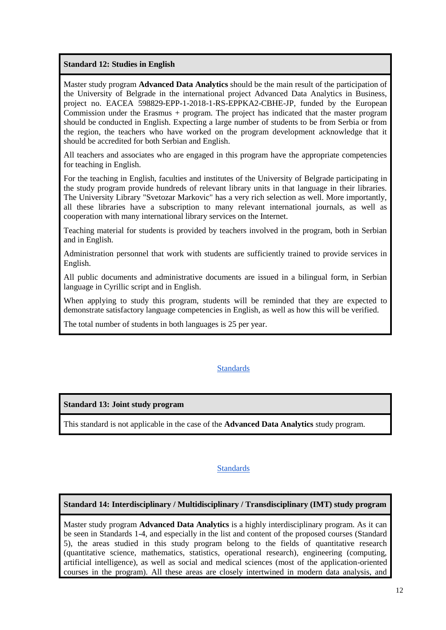**Standard 12: Studies in English**

Master study program **Advanced Data Analytics** should be the main result of the participation of the University of Belgrade in the international project Advanced Data Analytics in Business, project no. EACEA 598829-EPP-1-2018-1-RS-EPPKA2-CBHE-JP, funded by the European Commission under the Erasmus + program. The project has indicated that the master program should be conducted in English. Expecting a large number of students to be from Serbia or from the region, the teachers who have worked on the program development acknowledge that it should be accredited for both Serbian and English.

All teachers and associates who are engaged in this program have the appropriate competencies for teaching in English.

For the teaching in English, faculties and institutes of the University of Belgrade participating in the study program provide hundreds of relevant library units in that language in their libraries. The University Library "Svetozar Markovic" has a very rich selection as well. More importantly, all these libraries have a subscription to many relevant international journals, as well as cooperation with many international library services on the Internet.

Teaching material for students is provided by teachers involved in the program, both in Serbian and in English.

Administration personnel that work with students are sufficiently trained to provide services in English.

All public documents and administrative documents are issued in a bilingual form, in Serbian language in Cyrillic script and in English.

When applying to study this program, students will be reminded that they are expected to demonstrate satisfactory language competencies in English, as well as how this will be verified.

The total number of students in both languages is 25 per year.

## **[Standards](#page-0-0)**

#### <span id="page-11-0"></span>**Standard 13: Joint study program**

This standard is not applicable in the case of the **Advanced Data Analytics** study program.

#### **[Standards](#page-0-0)**

#### <span id="page-11-1"></span>**Standard 14: Interdisciplinary / Multidisciplinary / Transdisciplinary (IMT) study program**

Master study program **Advanced Data Analytics** is a highly interdisciplinary program. As it can be seen in Standards 1-4, and especially in the list and content of the proposed courses (Standard 5), the areas studied in this study program belong to the fields of quantitative research (quantitative science, mathematics, statistics, operational research), engineering (computing, artificial intelligence), as well as social and medical sciences (most of the application-oriented courses in the program). All these areas are closely intertwined in modern data analysis, and